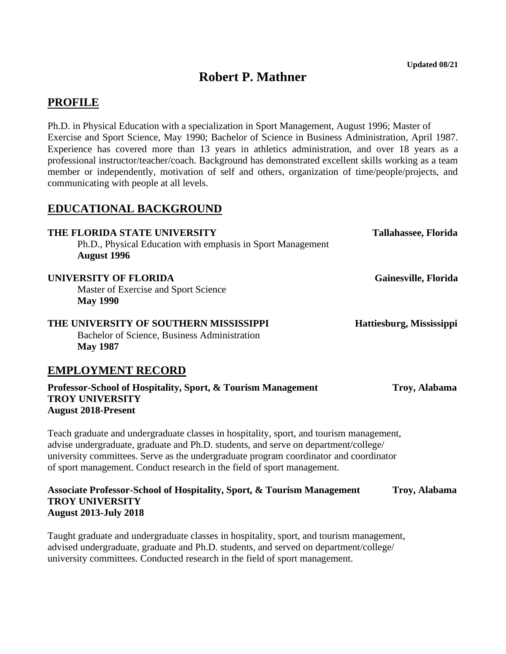# **Robert P. Mathner**

## **PROFILE**

Ph.D. in Physical Education with a specialization in Sport Management, August 1996; Master of Exercise and Sport Science, May 1990; Bachelor of Science in Business Administration, April 1987. Experience has covered more than 13 years in athletics administration, and over 18 years as a professional instructor/teacher/coach. Background has demonstrated excellent skills working as a team member or independently, motivation of self and others, organization of time/people/projects, and communicating with people at all levels.

# **EDUCATIONAL BACKGROUND**

**THE FLORIDA STATE UNIVERSITY Tallahassee, Florida** Ph.D., Physical Education with emphasis in Sport Management **August 1996 UNIVERSITY OF FLORIDA Gainesville, Florida** Master of Exercise and Sport Science **May 1990 THE UNIVERSITY OF SOUTHERN MISSISSIPPI Hattiesburg, Mississippi** Bachelor of Science, Business Administration **May 1987 EMPLOYMENT RECORD** Professor-School of Hospitality, Sport, & Tourism Management Troy, Alabama **TROY UNIVERSITY**

# **August 2018-Present**

Teach graduate and undergraduate classes in hospitality, sport, and tourism management, advise undergraduate, graduate and Ph.D. students, and serve on department/college/ university committees. Serve as the undergraduate program coordinator and coordinator of sport management. Conduct research in the field of sport management.

#### **Associate Professor-School of Hospitality, Sport, & Tourism Management Troy, Alabama TROY UNIVERSITY August 2013-July 2018**

Taught graduate and undergraduate classes in hospitality, sport, and tourism management, advised undergraduate, graduate and Ph.D. students, and served on department/college/ university committees. Conducted research in the field of sport management.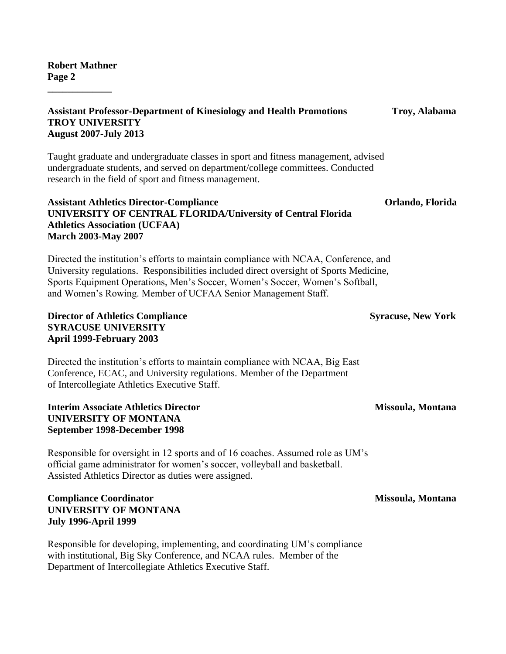**\_\_\_\_\_\_\_\_\_\_\_\_\_**

#### **Assistant Professor-Department of Kinesiology and Health Promotions Troy, Alabama TROY UNIVERSITY August 2007-July 2013**

Taught graduate and undergraduate classes in sport and fitness management, advised undergraduate students, and served on department/college committees. Conducted research in the field of sport and fitness management.

#### **Assistant Athletics Director-Compliance Orlando, Florida UNIVERSITY OF CENTRAL FLORIDA/University of Central Florida Athletics Association (UCFAA) March 2003-May 2007**

Directed the institution's efforts to maintain compliance with NCAA, Conference, and University regulations. Responsibilities included direct oversight of Sports Medicine, Sports Equipment Operations, Men's Soccer, Women's Soccer, Women's Softball, and Women's Rowing. Member of UCFAA Senior Management Staff.

#### **Director of Athletics Compliance Syracuse, New York** Syracuse, New York **SYRACUSE UNIVERSITY April 1999-February 2003**

Directed the institution's efforts to maintain compliance with NCAA, Big East Conference, ECAC, and University regulations. Member of the Department of Intercollegiate Athletics Executive Staff.

#### **Interim Associate Athletics Director Missoula, Montana UNIVERSITY OF MONTANA September 1998-December 1998**

Responsible for oversight in 12 sports and of 16 coaches. Assumed role as UM's official game administrator for women's soccer, volleyball and basketball. Assisted Athletics Director as duties were assigned.

#### Compliance Coordinator **Missoula, Montana UNIVERSITY OF MONTANA July 1996-April 1999**

Responsible for developing, implementing, and coordinating UM's compliance with institutional, Big Sky Conference, and NCAA rules. Member of the Department of Intercollegiate Athletics Executive Staff.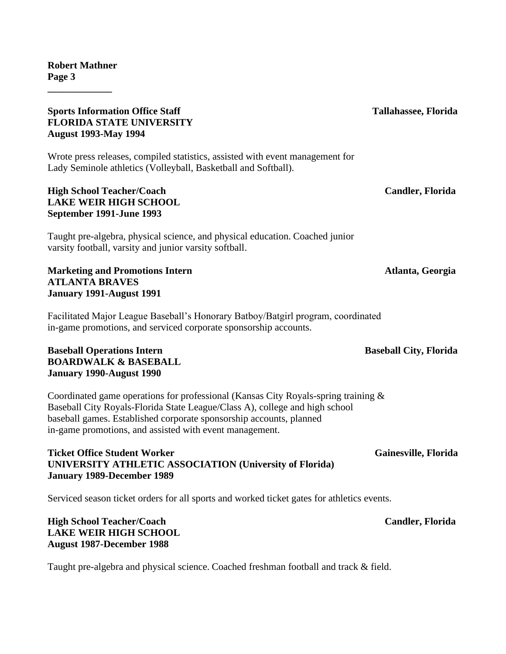#### **Sports Information Office Staff Tallahassee, Florida FLORIDA STATE UNIVERSITY August 1993-May 1994**

Wrote press releases, compiled statistics, assisted with event management for Lady Seminole athletics (Volleyball, Basketball and Softball).

## **High School Teacher/Coach Candler, Florida LAKE WEIR HIGH SCHOOL September 1991-June 1993**

Taught pre-algebra, physical science, and physical education. Coached junior varsity football, varsity and junior varsity softball.

**Marketing and Promotions Intern Atlanta, Georgia** Atlanta, Georgia **ATLANTA BRAVES January 1991-August 1991**

Facilitated Major League Baseball's Honorary Batboy/Batgirl program, coordinated in-game promotions, and serviced corporate sponsorship accounts.

### **Baseball Operations Intern Server All Serverse Server All Serverse Serverse Serverse Serverse Serverse Serverse Serverse Serverse Serverse Serverse Serverse Serverse Serverse Serverse Serverse Serverse Serverse Serverse S BOARDWALK & BASEBALL January 1990-August 1990**

Coordinated game operations for professional (Kansas City Royals-spring training & Baseball City Royals-Florida State League/Class A), college and high school baseball games. Established corporate sponsorship accounts, planned in-game promotions, and assisted with event management.

### **Ticket Office Student Worker Gainesville, Florida** Gainesville, Florida **UNIVERSITY ATHLETIC ASSOCIATION (University of Florida) January 1989-December 1989**

Serviced season ticket orders for all sports and worked ticket gates for athletics events.

# **High School Teacher/Coach Candler, Florida LAKE WEIR HIGH SCHOOL August 1987-December 1988**

Taught pre-algebra and physical science. Coached freshman football and track & field.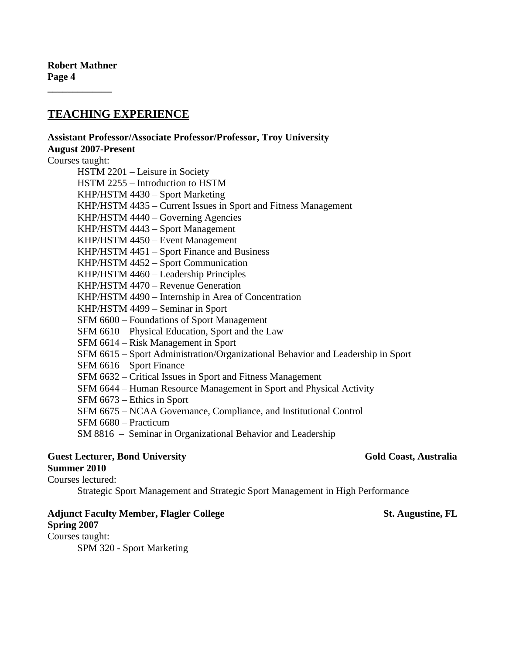# **TEACHING EXPERIENCE**

**Assistant Professor/Associate Professor/Professor, Troy University August 2007-Present** Courses taught: HSTM 2201 – Leisure in Society HSTM 2255 – Introduction to HSTM KHP/HSTM 4430 – Sport Marketing KHP/HSTM 4435 – Current Issues in Sport and Fitness Management KHP/HSTM 4440 – Governing Agencies KHP/HSTM 4443 – Sport Management KHP/HSTM 4450 – Event Management KHP/HSTM 4451 – Sport Finance and Business KHP/HSTM 4452 – Sport Communication KHP/HSTM 4460 – Leadership Principles KHP/HSTM 4470 – Revenue Generation KHP/HSTM 4490 – Internship in Area of Concentration KHP/HSTM 4499 – Seminar in Sport SFM 6600 – Foundations of Sport Management SFM 6610 – Physical Education, Sport and the Law SFM 6614 – Risk Management in Sport SFM 6615 – Sport Administration/Organizational Behavior and Leadership in Sport SFM 6616 – Sport Finance SFM 6632 – Critical Issues in Sport and Fitness Management SFM 6644 – Human Resource Management in Sport and Physical Activity SFM 6673 – Ethics in Sport SFM 6675 – NCAA Governance, Compliance, and Institutional Control SFM 6680 – Practicum SM 8816 – Seminar in Organizational Behavior and Leadership

#### **Guest Lecturer, Bond University Coast Australia Gold Coast, Australia Summer 2010**

Courses lectured:

Strategic Sport Management and Strategic Sport Management in High Performance

#### Adjunct Faculty Member, Flagler College St. Augustine, FL **Spring 2007**

Courses taught:

SPM 320 - Sport Marketing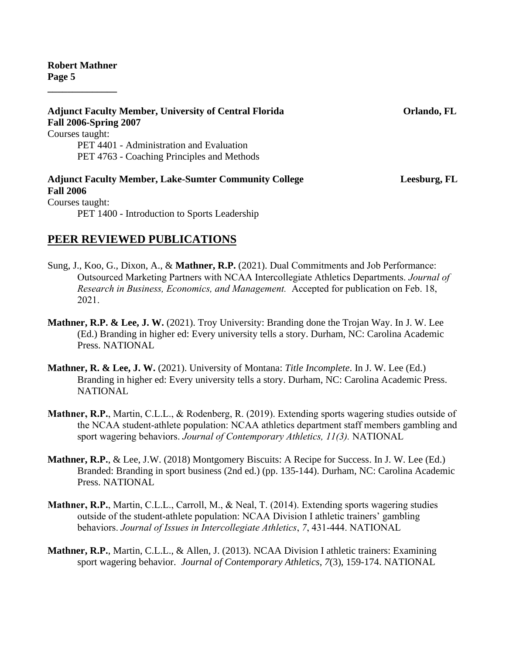**\_\_\_\_\_\_\_\_\_\_\_\_\_\_**

**Adjunct Faculty Member, University of Central Florida Orlando, FL Fall 2006-Spring 2007** Courses taught: PET 4401 - Administration and Evaluation PET 4763 - Coaching Principles and Methods **Adjunct Faculty Member, Lake-Sumter Community College Leesburg, FL Fall 2006**  Courses taught: PET 1400 - Introduction to Sports Leadership

# **PEER REVIEWED PUBLICATIONS**

- Sung, J., Koo, G., Dixon, A., & **Mathner, R.P.** (2021). Dual Commitments and Job Performance: Outsourced Marketing Partners with NCAA Intercollegiate Athletics Departments. *Journal of Research in Business, Economics, and Management.* Accepted for publication on Feb. 18, 2021.
- **Mathner, R.P. & Lee, J. W.** (2021). Troy University: Branding done the Trojan Way. In J. W. Lee (Ed.) Branding in higher ed: Every university tells a story. Durham, NC: Carolina Academic Press. NATIONAL
- **Mathner, R. & Lee, J. W.** (2021). University of Montana: *Title Incomplete*. In J. W. Lee (Ed.) Branding in higher ed: Every university tells a story. Durham, NC: Carolina Academic Press. NATIONAL
- **Mathner, R.P.**, Martin, C.L.L., & Rodenberg, R. (2019). Extending sports wagering studies outside of the NCAA student-athlete population: NCAA athletics department staff members gambling and sport wagering behaviors. *Journal of Contemporary Athletics, 11(3).* NATIONAL
- **Mathner, R.P.**, & Lee, J.W. (2018) Montgomery Biscuits: A Recipe for Success. In J. W. Lee (Ed.) Branded: Branding in sport business (2nd ed.) (pp. 135-144). Durham, NC: Carolina Academic Press. NATIONAL
- **Mathner, R.P.**, Martin, C.L.L., Carroll, M., & Neal, T. (2014). Extending sports wagering studies outside of the student-athlete population: NCAA Division I athletic trainers' gambling behaviors. *Journal of Issues in Intercollegiate Athletics*, *7*, 431-444. NATIONAL
- **Mathner, R.P.**, Martin, C.L.L., & Allen, J. (2013). NCAA Division I athletic trainers: Examining sport wagering behavior. *Journal of Contemporary Athletics*, *7*(3), 159-174. NATIONAL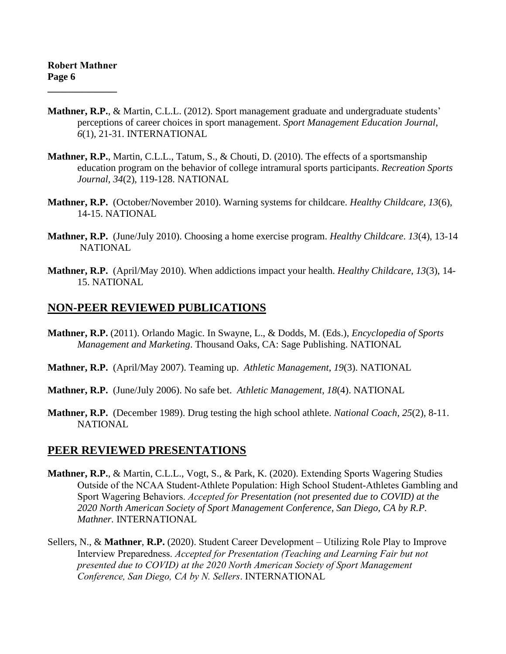- **Mathner, R.P.**, & Martin, C.L.L. (2012). Sport management graduate and undergraduate students' perceptions of career choices in sport management. *Sport Management Education Journal*, *6*(1), 21-31. INTERNATIONAL
- **Mathner, R.P.**, Martin, C.L.L., Tatum, S., & Chouti, D. (2010). The effects of a sportsmanship education program on the behavior of college intramural sports participants. *Recreation Sports Journal, 34*(2), 119-128. NATIONAL
- **Mathner, R.P.** (October/November 2010). Warning systems for childcare. *Healthy Childcare*, *13*(6), 14-15. NATIONAL
- **Mathner, R.P.** (June/July 2010). Choosing a home exercise program. *Healthy Childcare*. *13*(4), 13-14 **NATIONAL**
- **Mathner, R.P.** (April/May 2010). When addictions impact your health. *Healthy Childcare*, *13*(3), 14- 15. NATIONAL

# **NON-PEER REVIEWED PUBLICATIONS**

- **Mathner, R.P.** (2011). Orlando Magic. In Swayne, L., & Dodds, M. (Eds.), *Encyclopedia of Sports Management and Marketing*. Thousand Oaks, CA: Sage Publishing. NATIONAL
- **Mathner, R.P.** (April/May 2007). Teaming up. *Athletic Management*, *19*(3). NATIONAL
- **Mathner, R.P.** (June/July 2006). No safe bet. *Athletic Management*, *18*(4). NATIONAL
- **Mathner, R.P.** (December 1989). Drug testing the high school athlete. *National Coach*, *25*(2), 8-11. **NATIONAL**

## **PEER REVIEWED PRESENTATIONS**

- **Mathner, R.P.**, & Martin, C.L.L., Vogt, S., & Park, K. (2020). Extending Sports Wagering Studies Outside of the NCAA Student-Athlete Population: High School Student-Athletes Gambling and Sport Wagering Behaviors. *Accepted for Presentation (not presented due to COVID) at the 2020 North American Society of Sport Management Conference, San Diego, CA by R.P. Mathner.* INTERNATIONAL
- Sellers, N., & **Mathner**, **R.P.** (2020). Student Career Development Utilizing Role Play to Improve Interview Preparedness. *Accepted for Presentation (Teaching and Learning Fair but not presented due to COVID) at the 2020 North American Society of Sport Management Conference, San Diego, CA by N. Sellers*. INTERNATIONAL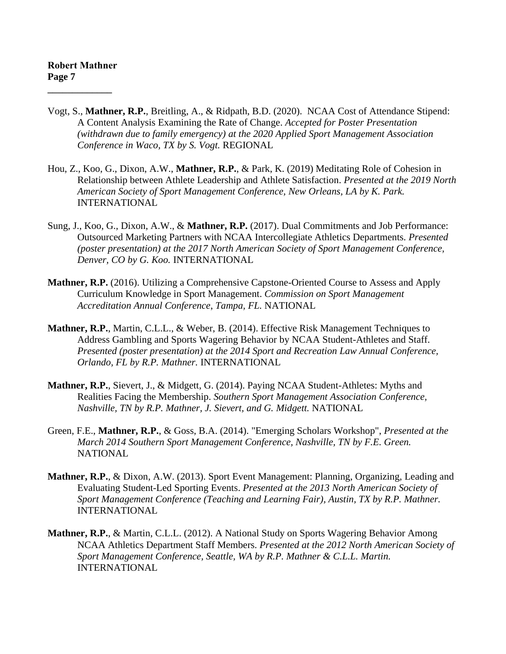- Vogt, S., **Mathner, R.P.**, Breitling, A., & Ridpath, B.D. (2020). NCAA Cost of Attendance Stipend: A Content Analysis Examining the Rate of Change. *Accepted for Poster Presentation (withdrawn due to family emergency) at the 2020 Applied Sport Management Association Conference in Waco, TX by S. Vogt.* REGIONAL
- Hou, Z., Koo, G., Dixon, A.W., **Mathner, R.P.**, & Park, K. (2019) Meditating Role of Cohesion in Relationship between Athlete Leadership and Athlete Satisfaction. *Presented at the 2019 North American Society of Sport Management Conference, New Orleans, LA by K. Park.*  INTERNATIONAL
- Sung, J., Koo, G., Dixon, A.W., & **Mathner, R.P.** (2017). Dual Commitments and Job Performance: Outsourced Marketing Partners with NCAA Intercollegiate Athletics Departments. *Presented (poster presentation) at the 2017 North American Society of Sport Management Conference, Denver, CO by G. Koo.* INTERNATIONAL
- **Mathner, R.P.** (2016). Utilizing a Comprehensive Capstone-Oriented Course to Assess and Apply Curriculum Knowledge in Sport Management. *Commission on Sport Management Accreditation Annual Conference*, *Tampa, FL.* NATIONAL
- **Mathner, R.P.**, Martin, C.L.L., & Weber, B. (2014). Effective Risk Management Techniques to Address Gambling and Sports Wagering Behavior by NCAA Student-Athletes and Staff. *Presented (poster presentation) at the 2014 Sport and Recreation Law Annual Conference, Orlando, FL by R.P. Mathner.* INTERNATIONAL
- **Mathner, R.P.**, Sievert, J., & Midgett, G. (2014). Paying NCAA Student-Athletes: Myths and Realities Facing the Membership. *Southern Sport Management Association Conference, Nashville, TN by R.P. Mathner, J. Sievert, and G. Midgett.* NATIONAL
- Green, F.E., **Mathner, R.P.**, & Goss, B.A. (2014). "Emerging Scholars Workshop", *Presented at the March 2014 Southern Sport Management Conference, Nashville, TN by F.E. Green.* NATIONAL
- **Mathner, R.P.**, & Dixon, A.W. (2013). Sport Event Management: Planning, Organizing, Leading and Evaluating Student-Led Sporting Events. *Presented at the 2013 North American Society of Sport Management Conference (Teaching and Learning Fair), Austin, TX by R.P. Mathner.*  INTERNATIONAL
- **Mathner, R.P.**, & Martin, C.L.L. (2012). A National Study on Sports Wagering Behavior Among NCAA Athletics Department Staff Members. *Presented at the 2012 North American Society of Sport Management Conference, Seattle, WA by R.P. Mathner & C.L.L. Martin.* INTERNATIONAL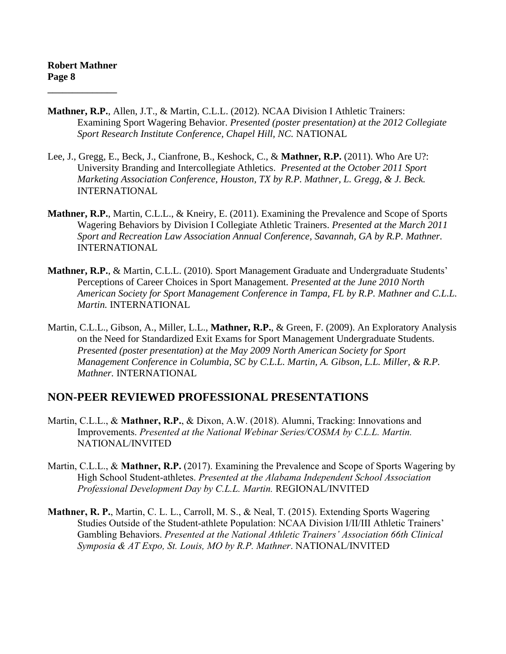- **Mathner, R.P.**, Allen, J.T., & Martin, C.L.L. (2012). NCAA Division I Athletic Trainers: Examining Sport Wagering Behavior. *Presented (poster presentation) at the 2012 Collegiate Sport Research Institute Conference, Chapel Hill, NC.* NATIONAL
- Lee, J., Gregg, E., Beck, J., Cianfrone, B., Keshock, C., & **Mathner, R.P.** (2011). Who Are U?: University Branding and Intercollegiate Athletics. *Presented at the October 2011 Sport Marketing Association Conference, Houston, TX by R.P. Mathner, L. Gregg, & J. Beck.* INTERNATIONAL
- **Mathner, R.P.**, Martin, C.L.L., & Kneiry, E. (2011). Examining the Prevalence and Scope of Sports Wagering Behaviors by Division I Collegiate Athletic Trainers. *Presented at the March 2011 Sport and Recreation Law Association Annual Conference, Savannah, GA by R.P. Mathner.*  INTERNATIONAL
- **Mathner, R.P.**, & Martin, C.L.L. (2010). Sport Management Graduate and Undergraduate Students' Perceptions of Career Choices in Sport Management. *Presented at the June 2010 North American Society for Sport Management Conference in Tampa, FL by R.P. Mathner and C.L.L. Martin.* INTERNATIONAL
- Martin, C.L.L., Gibson, A., Miller, L.L., **Mathner, R.P.**, & Green, F. (2009). An Exploratory Analysis on the Need for Standardized Exit Exams for Sport Management Undergraduate Students. *Presented (poster presentation) at the May 2009 North American Society for Sport Management Conference in Columbia, SC by C.L.L. Martin, A. Gibson, L.L. Miller, & R.P. Mathner.* INTERNATIONAL

## **NON-PEER REVIEWED PROFESSIONAL PRESENTATIONS**

- Martin, C.L.L., & **Mathner, R.P.**, & Dixon, A.W. (2018). Alumni, Tracking: Innovations and Improvements. *Presented at the National Webinar Series/COSMA by C.L.L. Martin.*  NATIONAL/INVITED
- Martin, C.L.L., & **Mathner, R.P.** (2017). Examining the Prevalence and Scope of Sports Wagering by High School Student-athletes. *Presented at the Alabama Independent School Association Professional Development Day by C.L.L. Martin.* REGIONAL/INVITED
- **Mathner, R. P.**, Martin, C. L. L., Carroll, M. S., & Neal, T. (2015). Extending Sports Wagering Studies Outside of the Student-athlete Population: NCAA Division I/II/III Athletic Trainers' Gambling Behaviors. *Presented at the National Athletic Trainers' Association 66th Clinical Symposia & AT Expo, St. Louis, MO by R.P. Mathner*. NATIONAL/INVITED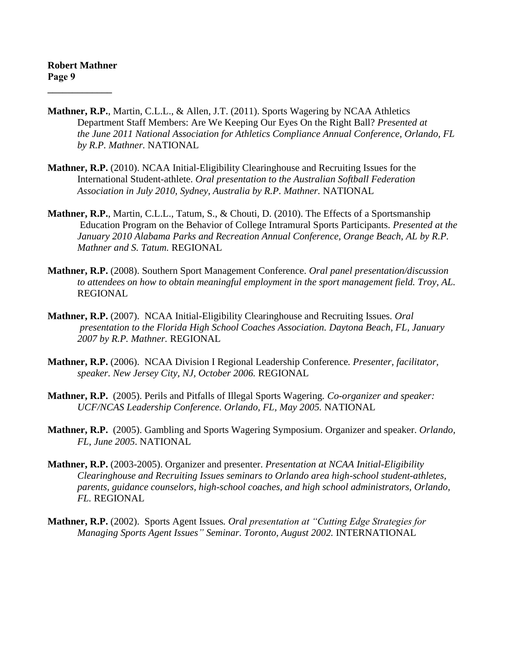- **Mathner, R.P.**, Martin, C.L.L., & Allen, J.T. (2011). Sports Wagering by NCAA Athletics Department Staff Members: Are We Keeping Our Eyes On the Right Ball? *Presented at the June 2011 National Association for Athletics Compliance Annual Conference, Orlando, FL by R.P. Mathner.* NATIONAL
- **Mathner, R.P.** (2010). NCAA Initial-Eligibility Clearinghouse and Recruiting Issues for the International Student-athlete. *Oral presentation to the Australian Softball Federation Association in July 2010, Sydney, Australia by R.P. Mathner.* NATIONAL
- **Mathner, R.P.**, Martin, C.L.L., Tatum, S., & Chouti, D. (2010). The Effects of a Sportsmanship Education Program on the Behavior of College Intramural Sports Participants. *Presented at the January 2010 Alabama Parks and Recreation Annual Conference, Orange Beach, AL by R.P. Mathner and S. Tatum.* REGIONAL
- **Mathner, R.P.** (2008). Southern Sport Management Conference. *Oral panel presentation/discussion to attendees on how to obtain meaningful employment in the sport management field. Troy, AL.* REGIONAL
- **Mathner, R.P.** (2007). NCAA Initial-Eligibility Clearinghouse and Recruiting Issues*. Oral presentation to the Florida High School Coaches Association. Daytona Beach, FL, January 2007 by R.P. Mathner.* REGIONAL
- **Mathner, R.P.** (2006). NCAA Division I Regional Leadership Conference*. Presenter, facilitator, speaker. New Jersey City, NJ, October 2006.* REGIONAL
- **Mathner, R.P.** (2005). Perils and Pitfalls of Illegal Sports Wagering*. Co-organizer and speaker: UCF/NCAS Leadership Conference. Orlando, FL, May 2005.* NATIONAL
- **Mathner, R.P.** (2005). Gambling and Sports Wagering Symposium. Organizer and speaker. *Orlando, FL*, *June 2005*. NATIONAL
- **Mathner, R.P.** (2003-2005). Organizer and presenter. *Presentation at NCAA Initial-Eligibility Clearinghouse and Recruiting Issues seminars to Orlando area high-school student-athletes, parents, guidance counselors, high-school coaches, and high school administrators, Orlando, FL.* REGIONAL
- **Mathner, R.P.** (2002). Sports Agent Issues*. Oral presentation at "Cutting Edge Strategies for Managing Sports Agent Issues" Seminar. Toronto, August 2002.* INTERNATIONAL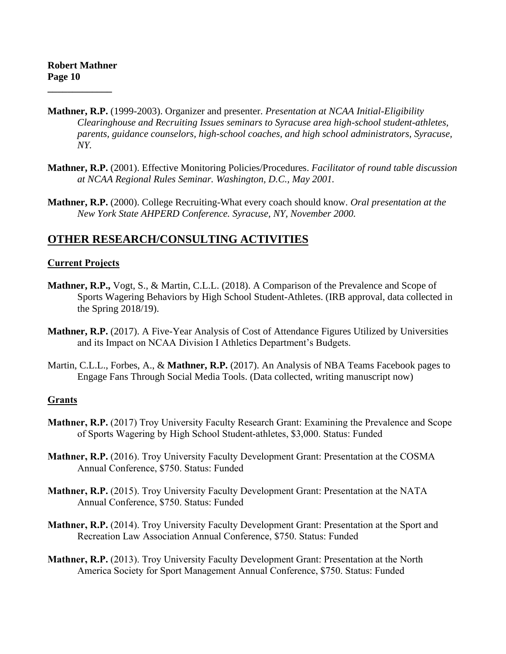- **Mathner, R.P.** (1999-2003). Organizer and presenter. *Presentation at NCAA Initial-Eligibility Clearinghouse and Recruiting Issues seminars to Syracuse area high-school student-athletes, parents, guidance counselors, high-school coaches, and high school administrators, Syracuse, NY.*
- **Mathner, R.P.** (2001). Effective Monitoring Policies/Procedures. *Facilitator of round table discussion at NCAA Regional Rules Seminar. Washington, D.C., May 2001.*
- **Mathner, R.P.** (2000). College Recruiting-What every coach should know. *Oral presentation at the New York State AHPERD Conference. Syracuse, NY, November 2000.*

# **OTHER RESEARCH/CONSULTING ACTIVITIES**

#### **Current Projects**

- **Mathner, R.P.,** Vogt, S., & Martin, C.L.L. (2018). A Comparison of the Prevalence and Scope of Sports Wagering Behaviors by High School Student-Athletes. (IRB approval, data collected in the Spring 2018/19).
- **Mathner, R.P.** (2017). A Five-Year Analysis of Cost of Attendance Figures Utilized by Universities and its Impact on NCAA Division I Athletics Department's Budgets.
- Martin, C.L.L., Forbes, A., & **Mathner, R.P.** (2017). An Analysis of NBA Teams Facebook pages to Engage Fans Through Social Media Tools. (Data collected, writing manuscript now)

#### **Grants**

- **Mathner, R.P.** (2017) Troy University Faculty Research Grant: Examining the Prevalence and Scope of Sports Wagering by High School Student-athletes, \$3,000. Status: Funded
- **Mathner, R.P.** (2016). Troy University Faculty Development Grant: Presentation at the COSMA Annual Conference, \$750. Status: Funded
- **Mathner, R.P.** (2015). Troy University Faculty Development Grant: Presentation at the NATA Annual Conference, \$750. Status: Funded
- **Mathner, R.P.** (2014). Troy University Faculty Development Grant: Presentation at the Sport and Recreation Law Association Annual Conference, \$750. Status: Funded
- **Mathner, R.P.** (2013). Troy University Faculty Development Grant: Presentation at the North America Society for Sport Management Annual Conference, \$750. Status: Funded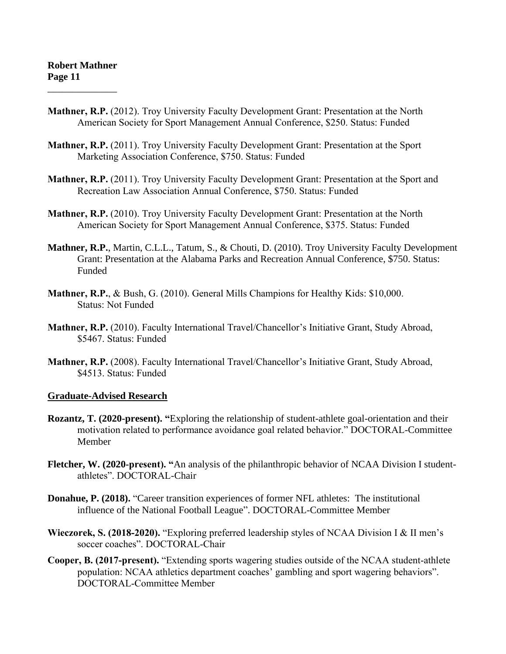- **Mathner, R.P.** (2012). Troy University Faculty Development Grant: Presentation at the North American Society for Sport Management Annual Conference, \$250. Status: Funded
- **Mathner, R.P.** (2011). Troy University Faculty Development Grant: Presentation at the Sport Marketing Association Conference, \$750. Status: Funded
- **Mathner, R.P.** (2011). Troy University Faculty Development Grant: Presentation at the Sport and Recreation Law Association Annual Conference, \$750. Status: Funded
- **Mathner, R.P.** (2010). Troy University Faculty Development Grant: Presentation at the North American Society for Sport Management Annual Conference, \$375. Status: Funded
- **Mathner, R.P.**, Martin, C.L.L., Tatum, S., & Chouti, D. (2010). Troy University Faculty Development Grant: Presentation at the Alabama Parks and Recreation Annual Conference, \$750. Status: Funded
- **Mathner, R.P.**, & Bush, G. (2010). General Mills Champions for Healthy Kids: \$10,000. Status: Not Funded
- **Mathner, R.P.** (2010). Faculty International Travel/Chancellor's Initiative Grant, Study Abroad, \$5467. Status: Funded
- **Mathner, R.P.** (2008). Faculty International Travel/Chancellor's Initiative Grant, Study Abroad, \$4513. Status: Funded

#### **Graduate-Advised Research**

- **Rozantz, T. (2020-present). "**Exploring the relationship of student-athlete goal-orientation and their motivation related to performance avoidance goal related behavior." DOCTORAL-Committee Member
- **Fletcher, W. (2020-present). "**An analysis of the philanthropic behavior of NCAA Division I studentathletes". DOCTORAL-Chair
- **Donahue, P. (2018).** "Career transition experiences of former NFL athletes: The institutional influence of the National Football League". DOCTORAL-Committee Member
- **Wieczorek, S. (2018-2020).** "Exploring preferred leadership styles of NCAA Division I & II men's soccer coaches". DOCTORAL-Chair
- **Cooper, B. (2017-present).** "Extending sports wagering studies outside of the NCAA student-athlete population: NCAA athletics department coaches' gambling and sport wagering behaviors". DOCTORAL-Committee Member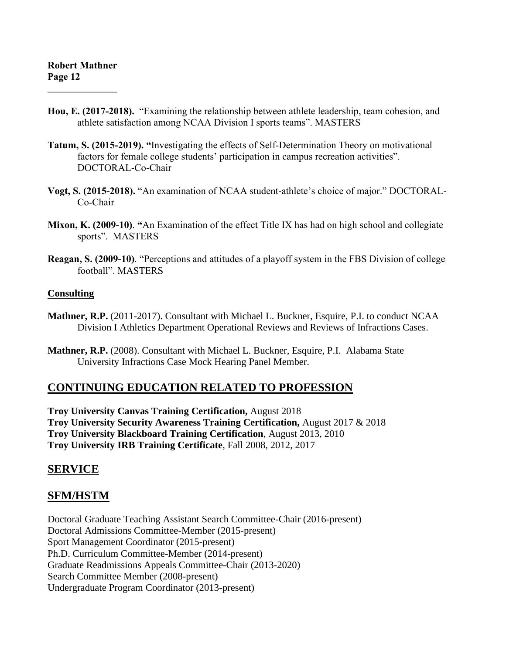- **Hou, E. (2017-2018).** "Examining the relationship between athlete leadership, team cohesion, and athlete satisfaction among NCAA Division I sports teams". MASTERS
- **Tatum, S. (2015-2019). "**Investigating the effects of Self-Determination Theory on motivational factors for female college students' participation in campus recreation activities". DOCTORAL-Co-Chair
- **Vogt, S. (2015-2018).** "An examination of NCAA student-athlete's choice of major." DOCTORAL-Co-Chair
- **Mixon, K. (2009-10)**. **"**An Examination of the effect Title IX has had on high school and collegiate sports". MASTERS
- **Reagan, S. (2009-10)**. "Perceptions and attitudes of a playoff system in the FBS Division of college football". MASTERS

#### **Consulting**

- **Mathner, R.P.** (2011-2017). Consultant with Michael L. Buckner, Esquire, P.I. to conduct NCAA Division I Athletics Department Operational Reviews and Reviews of Infractions Cases.
- **Mathner, R.P.** (2008). Consultant with Michael L. Buckner, Esquire, P.I. Alabama State University Infractions Case Mock Hearing Panel Member.

# **CONTINUING EDUCATION RELATED TO PROFESSION**

**Troy University Canvas Training Certification,** August 2018 **Troy University Security Awareness Training Certification,** August 2017 & 2018 **Troy University Blackboard Training Certification**, August 2013, 2010 **Troy University IRB Training Certificate**, Fall 2008, 2012, 2017

# **SERVICE**

# **SFM/HSTM**

Doctoral Graduate Teaching Assistant Search Committee-Chair (2016-present) Doctoral Admissions Committee-Member (2015-present) Sport Management Coordinator (2015-present) Ph.D. Curriculum Committee-Member (2014-present) Graduate Readmissions Appeals Committee-Chair (2013-2020) Search Committee Member (2008-present) Undergraduate Program Coordinator (2013-present)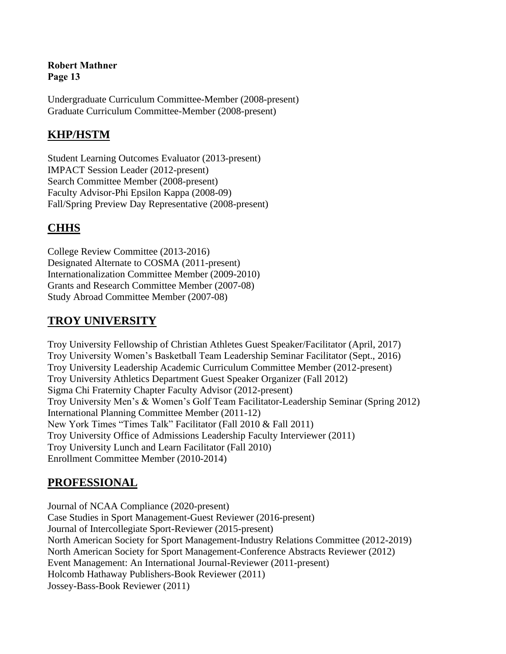Undergraduate Curriculum Committee-Member (2008-present) Graduate Curriculum Committee-Member (2008-present)

# **KHP/HSTM**

Student Learning Outcomes Evaluator (2013-present) IMPACT Session Leader (2012-present) Search Committee Member (2008-present) Faculty Advisor-Phi Epsilon Kappa (2008-09) Fall/Spring Preview Day Representative (2008-present)

# **CHHS**

College Review Committee (2013-2016) Designated Alternate to COSMA (2011-present) Internationalization Committee Member (2009-2010) Grants and Research Committee Member (2007-08) Study Abroad Committee Member (2007-08)

# **TROY UNIVERSITY**

Troy University Fellowship of Christian Athletes Guest Speaker/Facilitator (April, 2017) Troy University Women's Basketball Team Leadership Seminar Facilitator (Sept., 2016) Troy University Leadership Academic Curriculum Committee Member (2012-present) Troy University Athletics Department Guest Speaker Organizer (Fall 2012) Sigma Chi Fraternity Chapter Faculty Advisor (2012-present) Troy University Men's & Women's Golf Team Facilitator-Leadership Seminar (Spring 2012) International Planning Committee Member (2011-12) New York Times "Times Talk" Facilitator (Fall 2010 & Fall 2011) Troy University Office of Admissions Leadership Faculty Interviewer (2011) Troy University Lunch and Learn Facilitator (Fall 2010) Enrollment Committee Member (2010-2014)

# **PROFESSIONAL**

Journal of NCAA Compliance (2020-present) Case Studies in Sport Management-Guest Reviewer (2016-present) Journal of Intercollegiate Sport-Reviewer (2015-present) North American Society for Sport Management-Industry Relations Committee (2012-2019) North American Society for Sport Management-Conference Abstracts Reviewer (2012) Event Management: An International Journal-Reviewer (2011-present) Holcomb Hathaway Publishers-Book Reviewer (2011) Jossey-Bass-Book Reviewer (2011)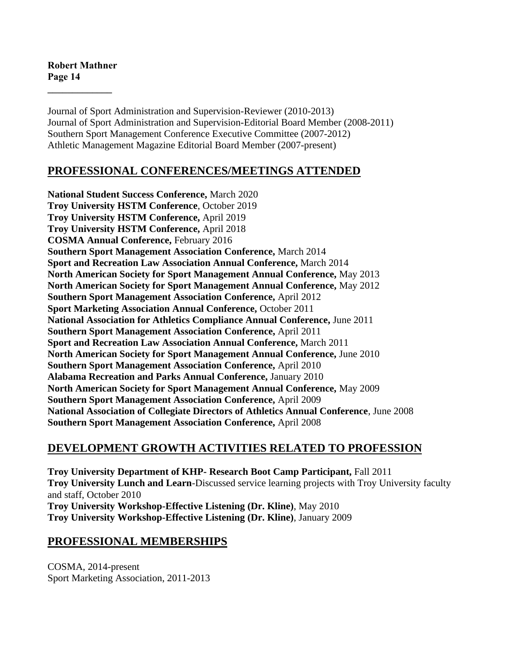Journal of Sport Administration and Supervision-Reviewer (2010-2013) Journal of Sport Administration and Supervision-Editorial Board Member (2008-2011) Southern Sport Management Conference Executive Committee (2007-2012) Athletic Management Magazine Editorial Board Member (2007-present)

# **PROFESSIONAL CONFERENCES/MEETINGS ATTENDED**

**National Student Success Conference,** March 2020 **Troy University HSTM Conference**, October 2019 **Troy University HSTM Conference,** April 2019 **Troy University HSTM Conference,** April 2018 **COSMA Annual Conference,** February 2016 **Southern Sport Management Association Conference,** March 2014 **Sport and Recreation Law Association Annual Conference,** March 2014 **North American Society for Sport Management Annual Conference,** May 2013 **North American Society for Sport Management Annual Conference,** May 2012 **Southern Sport Management Association Conference,** April 2012 **Sport Marketing Association Annual Conference,** October 2011 **National Association for Athletics Compliance Annual Conference,** June 2011 **Southern Sport Management Association Conference,** April 2011 **Sport and Recreation Law Association Annual Conference,** March 2011 **North American Society for Sport Management Annual Conference,** June 2010 **Southern Sport Management Association Conference,** April 2010 **Alabama Recreation and Parks Annual Conference,** January 2010 **North American Society for Sport Management Annual Conference,** May 2009 **Southern Sport Management Association Conference,** April 2009 **National Association of Collegiate Directors of Athletics Annual Conference**, June 2008 **Southern Sport Management Association Conference,** April 2008

# **DEVELOPMENT GROWTH ACTIVITIES RELATED TO PROFESSION**

**Troy University Department of KHP- Research Boot Camp Participant,** Fall 2011 **Troy University Lunch and Learn**-Discussed service learning projects with Troy University faculty and staff, October 2010 **Troy University Workshop-Effective Listening (Dr. Kline)**, May 2010 **Troy University Workshop-Effective Listening (Dr. Kline)**, January 2009

# **PROFESSIONAL MEMBERSHIPS**

COSMA, 2014-present Sport Marketing Association, 2011-2013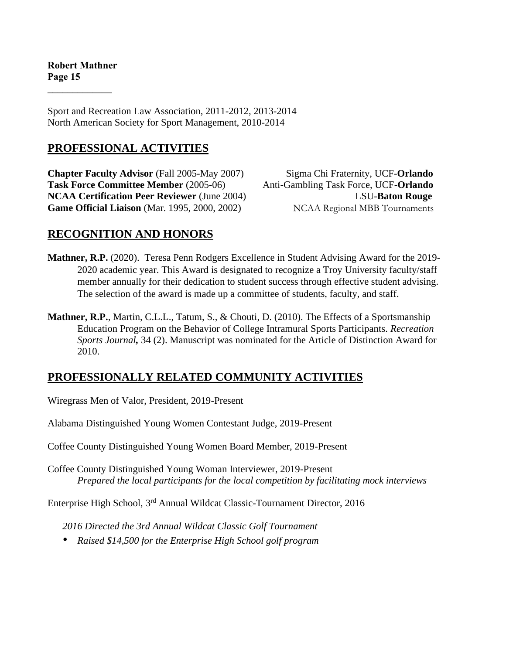Sport and Recreation Law Association, 2011-2012, 2013-2014 North American Society for Sport Management, 2010-2014

# **PROFESSIONAL ACTIVITIES**

**Chapter Faculty Advisor** (Fall 2005-May 2007) Sigma Chi Fraternity, UCF-**Orlando Task Force Committee Member** (2005-06) Anti-Gambling Task Force, UCF-**Orlando NCAA Certification Peer Reviewer** (June 2004) LSU-**Baton Rouge** Game Official Liaison (Mar. 1995, 2000, 2002) NCAA Regional MBB Tournaments

# **RECOGNITION AND HONORS**

- **Mathner, R.P.** (2020). Teresa Penn Rodgers Excellence in Student Advising Award for the 2019- 2020 academic year. This Award is designated to recognize a Troy University faculty/staff member annually for their dedication to student success through effective student advising. The selection of the award is made up a committee of students, faculty, and staff.
- **Mathner, R.P.**, Martin, C.L.L., Tatum, S., & Chouti, D. (2010). The Effects of a Sportsmanship Education Program on the Behavior of College Intramural Sports Participants. *Recreation Sports Journal,* 34 (2). Manuscript was nominated for the Article of Distinction Award for 2010.

# **PROFESSIONALLY RELATED COMMUNITY ACTIVITIES**

Wiregrass Men of Valor, President, 2019-Present

Alabama Distinguished Young Women Contestant Judge, 2019-Present

Coffee County Distinguished Young Women Board Member, 2019-Present

Coffee County Distinguished Young Woman Interviewer, 2019-Present *Prepared the local participants for the local competition by facilitating mock interviews*

Enterprise High School, 3rd Annual Wildcat Classic-Tournament Director, 2016

*2016 Directed the 3rd Annual Wildcat Classic Golf Tournament*

*• Raised \$14,500 for the Enterprise High School golf program*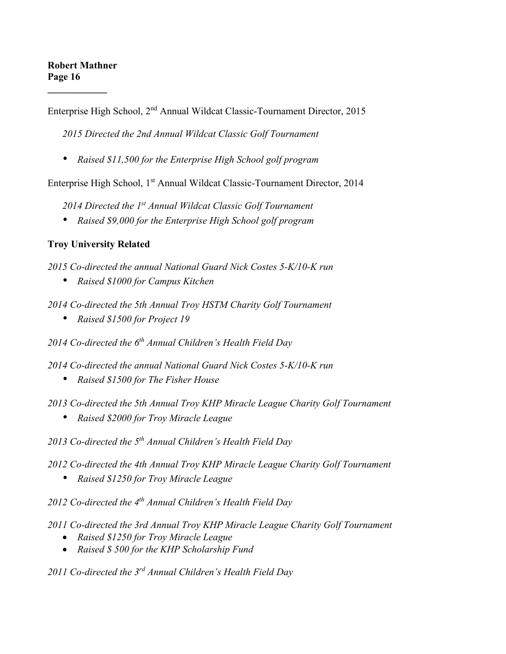Enterprise High School, 2nd Annual Wildcat Classic-Tournament Director, 2015

*2015 Directed the 2nd Annual Wildcat Classic Golf Tournament*

*• Raised \$11,500 for the Enterprise High School golf program*

Enterprise High School, 1<sup>st</sup> Annual Wildcat Classic-Tournament Director, 2014

*2014 Directed the 1st Annual Wildcat Classic Golf Tournament*

*• Raised \$9,000 for the Enterprise High School golf program*

## **Troy University Related**

*2015 Co-directed the annual National Guard Nick Costes 5-K/10-K run* 

- *• Raised \$1000 for Campus Kitchen*
- *2014 Co-directed the 5th Annual Troy HSTM Charity Golf Tournament*
	- *• Raised \$1500 for Project 19*

*2014 Co-directed the 6th Annual Children's Health Field Day*

*2014 Co-directed the annual National Guard Nick Costes 5-K/10-K run* 

- *• Raised \$1500 for The Fisher House*
- *2013 Co-directed the 5th Annual Troy KHP Miracle League Charity Golf Tournament*
	- *• Raised \$2000 for Troy Miracle League*
- *2013 Co-directed the 5th Annual Children's Health Field Day*
- *2012 Co-directed the 4th Annual Troy KHP Miracle League Charity Golf Tournament*
	- *• Raised \$1250 for Troy Miracle League*

*2012 Co-directed the 4th Annual Children's Health Field Day*

- *2011 Co-directed the 3rd Annual Troy KHP Miracle League Charity Golf Tournament*
	- *Raised \$1250 for Troy Miracle League*
	- *Raised \$ 500 for the KHP Scholarship Fund*

*2011 Co-directed the 3rd Annual Children's Health Field Day*